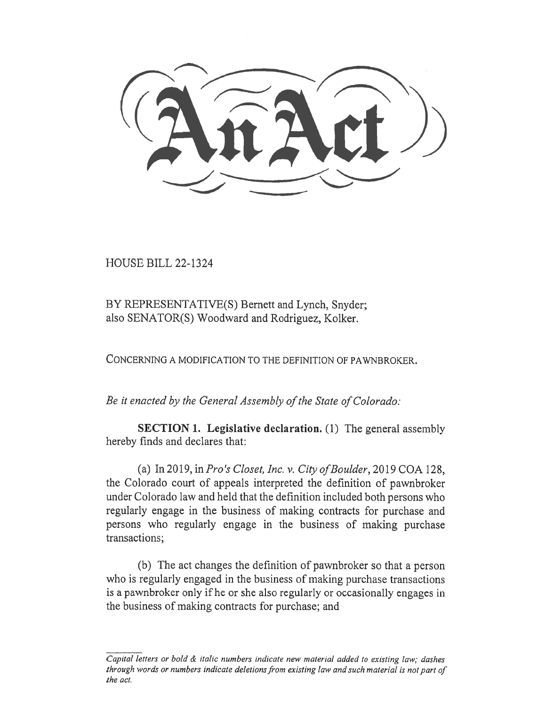HOUSE BILL 22-1324

BY REPRESENTATIVE(S) Bernett and Lynch, Snyder; also SENATOR(S) Woodward and Rodriguez, Kolker.

CONCERNING A MODIFICATION TO THE DEFINITION OF PAWNBROKER.

Be it enacted by the General Assembly of the State of Colorado:

SECTION 1. Legislative declaration. (1) The general assembly hereby finds and declares that:

(a) In 2019, in Pro's Closet, Inc. v. City of Boulder, 2019 COA 128, the Colorado court of appeals interpreted the definition of pawnbroker under Colorado law and held that the definition included both persons who regularly engage in the business of making contracts for purchase and persons who regularly engage in the business of making purchase transactions;

(b) The act changes the definition of pawnbroker so that a person who is regularly engaged in the business of making purchase transactions is a pawnbroker only if he or she also regularly or occasionally engages in the business of making contracts for purchase; and

Capital letters or bold  $\&$  italic numbers indicate new material added to existing law; dashes through words or numbers indicate deletions from existing law and such material is not part of the act.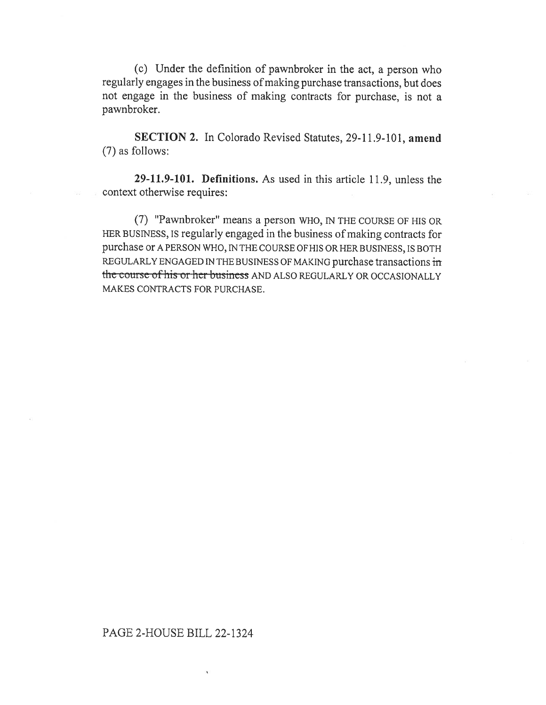(c) Under the definition of pawnbroker in the act, a person who regularly engages in the business of making purchase transactions, but does not engage in the business of making contracts for purchase, is not a pawnbroker.

SECTION 2. In Colorado Revised Statutes, 29-11.9-101, amend (7) as follows:

29-11.9-101. Definitions. As used in this article 11.9, unless the context otherwise requires:

(7) "Pawnbroker" means a person WHO, IN THE COURSE OF HIS OR HER BUSINESS, IS regularly engaged in the business of making contracts for purchase or A PERSON WHO, IN THE COURSE OF HIS OR HER BUSINESS, IS BOTH REGULARLY ENGAGED IN THE BUSINESS OF MAKING purchase transactions in the course of his or her business AND ALSO REGULARLY OR OCCASIONALLY MAKES CONTRACTS FOR PURCHASE.

## PAGE 2-HOUSE BILL 22-1324